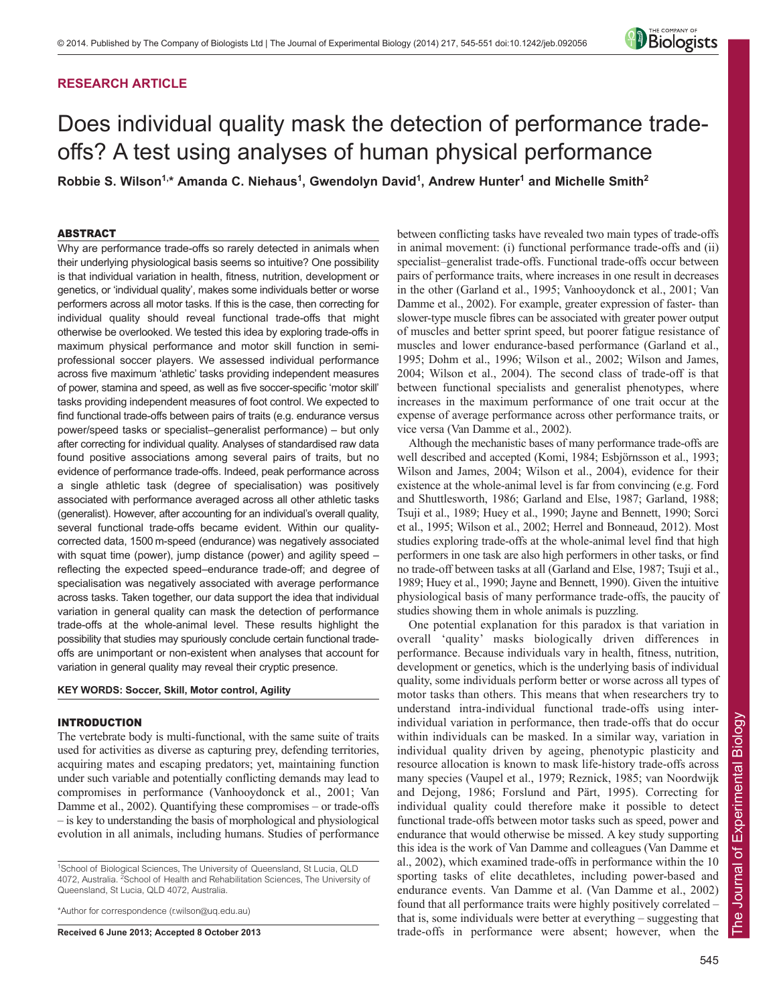## **RESEARCH ARTICLE**



# Does individual quality mask the detection of performance tradeoffs? A test using analyses of human physical performance

**Robbie S. Wilson1,\* Amanda C. Niehaus1 , Gwendolyn David1 , Andrew Hunter1 and Michelle Smith2**

#### ABSTRACT

Why are performance trade-offs so rarely detected in animals when their underlying physiological basis seems so intuitive? One possibility is that individual variation in health, fitness, nutrition, development or genetics, or 'individual quality', makes some individuals better or worse performers across all motor tasks. If this is the case, then correcting for individual quality should reveal functional trade-offs that might otherwise be overlooked. We tested this idea by exploring trade-offs in maximum physical performance and motor skill function in semiprofessional soccer players. We assessed individual performance across five maximum 'athletic' tasks providing independent measures of power, stamina and speed, as well as five soccer-specific 'motor skill' tasks providing independent measures of foot control. We expected to find functional trade-offs between pairs of traits (e.g. endurance versus power/speed tasks or specialist–generalist performance) – but only after correcting for individual quality. Analyses of standardised raw data found positive associations among several pairs of traits, but no evidence of performance trade-offs. Indeed, peak performance across a single athletic task (degree of specialisation) was positively associated with performance averaged across all other athletic tasks (generalist). However, after accounting for an individual's overall quality, several functional trade-offs became evident. Within our qualitycorrected data, 1500 m-speed (endurance) was negatively associated with squat time (power), jump distance (power) and agility speed – reflecting the expected speed–endurance trade-off; and degree of specialisation was negatively associated with average performance across tasks. Taken together, our data support the idea that individual variation in general quality can mask the detection of performance trade-offs at the whole-animal level. These results highlight the possibility that studies may spuriously conclude certain functional tradeoffs are unimportant or non-existent when analyses that account for variation in general quality may reveal their cryptic presence.

## **KEY WORDS: Soccer, Skill, Motor control, Agility**

#### INTRODUCTION

The vertebrate body is multi-functional, with the same suite of traits used for activities as diverse as capturing prey, defending territories, acquiring mates and escaping predators; yet, maintaining function under such variable and potentially conflicting demands may lead to compromises in performance (Vanhooydonck et al., 2001; Van Damme et al., 2002). Quantifying these compromises – or trade-offs – is key to understanding the basis of morphological and physiological evolution in all animals, including humans. Studies of performance

\*Author for correspondence (r.wilson@uq.edu.au)

**Received 6 June 2013; Accepted 8 October 2013**

between conflicting tasks have revealed two main types of trade-offs in animal movement: (i) functional performance trade-offs and (ii) specialist–generalist trade-offs. Functional trade-offs occur between pairs of performance traits, where increases in one result in decreases in the other (Garland et al., 1995; Vanhooydonck et al., 2001; Van Damme et al., 2002). For example, greater expression of faster- than slower-type muscle fibres can be associated with greater power output of muscles and better sprint speed, but poorer fatigue resistance of muscles and lower endurance-based performance (Garland et al., 1995; Dohm et al., 1996; Wilson et al., 2002; Wilson and James, 2004; Wilson et al., 2004). The second class of trade-off is that between functional specialists and generalist phenotypes, where increases in the maximum performance of one trait occur at the expense of average performance across other performance traits, or vice versa (Van Damme et al., 2002).

Although the mechanistic bases of many performance trade-offs are well described and accepted (Komi, 1984; Esbjörnsson et al., 1993; Wilson and James, 2004; Wilson et al., 2004), evidence for their existence at the whole-animal level is far from convincing (e.g. Ford and Shuttlesworth, 1986; Garland and Else, 1987; Garland, 1988; Tsuji et al., 1989; Huey et al., 1990; Jayne and Bennett, 1990; Sorci et al., 1995; Wilson et al., 2002; Herrel and Bonneaud, 2012). Most studies exploring trade-offs at the whole-animal level find that high performers in one task are also high performers in other tasks, or find no trade-off between tasks at all (Garland and Else, 1987; Tsuji et al., 1989; Huey et al., 1990; Jayne and Bennett, 1990). Given the intuitive physiological basis of many performance trade-offs, the paucity of studies showing them in whole animals is puzzling.

One potential explanation for this paradox is that variation in overall 'quality' masks biologically driven differences in performance. Because individuals vary in health, fitness, nutrition, development or genetics, which is the underlying basis of individual quality, some individuals perform better or worse across all types of motor tasks than others. This means that when researchers try to understand intra-individual functional trade-offs using interindividual variation in performance, then trade-offs that do occur within individuals can be masked. In a similar way, variation in individual quality driven by ageing, phenotypic plasticity and resource allocation is known to mask life-history trade-offs across many species (Vaupel et al., 1979; Reznick, 1985; van Noordwijk and Dejong, 1986; Forslund and Pärt, 1995). Correcting for individual quality could therefore make it possible to detect functional trade-offs between motor tasks such as speed, power and endurance that would otherwise be missed. A key study supporting this idea is the work of Van Damme and colleagues (Van Damme et al., 2002), which examined trade-offs in performance within the 10 sporting tasks of elite decathletes, including power-based and endurance events. Van Damme et al. (Van Damme et al., 2002) found that all performance traits were highly positively correlated – that is, some individuals were better at everything – suggesting that trade-offs in performance were absent; however, when the

<sup>&</sup>lt;sup>1</sup>School of Biological Sciences, The University of Queensland, St Lucia, QLD 4072, Australia. <sup>2</sup>School of Health and Rehabilitation Sciences, The University of Queensland, St Lucia, QLD 4072, Australia.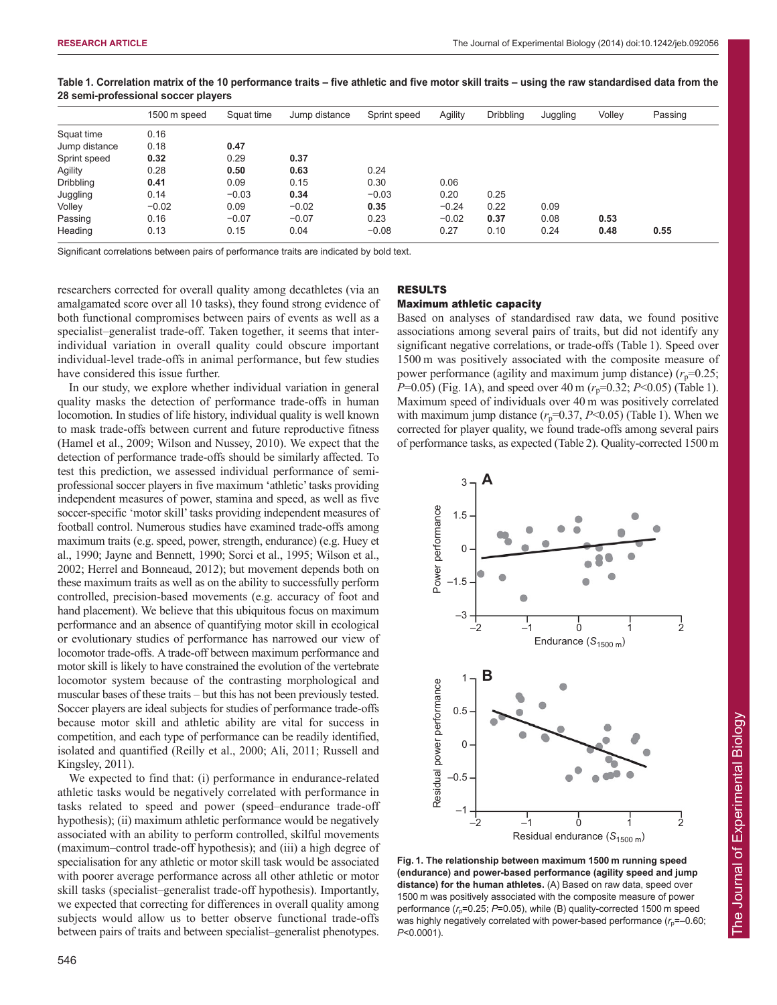|                  | 1500 m speed | Squat time | Jump distance | Sprint speed | Agility | <b>Dribbling</b> | Juggling | Volley | Passing |
|------------------|--------------|------------|---------------|--------------|---------|------------------|----------|--------|---------|
| Squat time       | 0.16         |            |               |              |         |                  |          |        |         |
| Jump distance    | 0.18         | 0.47       |               |              |         |                  |          |        |         |
| Sprint speed     | 0.32         | 0.29       | 0.37          |              |         |                  |          |        |         |
| Agility          | 0.28         | 0.50       | 0.63          | 0.24         |         |                  |          |        |         |
| <b>Dribbling</b> | 0.41         | 0.09       | 0.15          | 0.30         | 0.06    |                  |          |        |         |
| Juggling         | 0.14         | $-0.03$    | 0.34          | $-0.03$      | 0.20    | 0.25             |          |        |         |
| Volley           | $-0.02$      | 0.09       | $-0.02$       | 0.35         | $-0.24$ | 0.22             | 0.09     |        |         |
| Passing          | 0.16         | $-0.07$    | $-0.07$       | 0.23         | $-0.02$ | 0.37             | 0.08     | 0.53   |         |
| Heading          | 0.13         | 0.15       | 0.04          | $-0.08$      | 0.27    | 0.10             | 0.24     | 0.48   | 0.55    |

**Table 1. Correlation matrix of the 10 performance traits – five athletic and five motor skill traits – using the raw standardised data from the 28 semi-professional soccer players**

Significant correlations between pairs of performance traits are indicated by bold text.

researchers corrected for overall quality among decathletes (via an amalgamated score over all 10 tasks), they found strong evidence of both functional compromises between pairs of events as well as a specialist–generalist trade-off. Taken together, it seems that interindividual variation in overall quality could obscure important individual-level trade-offs in animal performance, but few studies have considered this issue further.

In our study, we explore whether individual variation in general quality masks the detection of performance trade-offs in human locomotion. In studies of life history, individual quality is well known to mask trade-offs between current and future reproductive fitness (Hamel et al., 2009; Wilson and Nussey, 2010). We expect that the detection of performance trade-offs should be similarly affected. To test this prediction, we assessed individual performance of semiprofessional soccer players in five maximum 'athletic' tasks providing independent measures of power, stamina and speed, as well as five soccer-specific 'motor skill' tasks providing independent measures of football control. Numerous studies have examined trade-offs among maximum traits (e.g. speed, power, strength, endurance) (e.g. Huey et al., 1990; Jayne and Bennett, 1990; Sorci et al., 1995; Wilson et al., 2002; Herrel and Bonneaud, 2012); but movement depends both on these maximum traits as well as on the ability to successfully perform controlled, precision-based movements (e.g. accuracy of foot and hand placement). We believe that this ubiquitous focus on maximum performance and an absence of quantifying motor skill in ecological or evolutionary studies of performance has narrowed our view of locomotor trade-offs. A trade-off between maximum performance and motor skill is likely to have constrained the evolution of the vertebrate locomotor system because of the contrasting morphological and muscular bases of these traits – but this has not been previously tested. Soccer players are ideal subjects for studies of performance trade-offs because motor skill and athletic ability are vital for success in competition, and each type of performance can be readily identified, isolated and quantified (Reilly et al., 2000; Ali, 2011; Russell and Kingsley, 2011).

We expected to find that: (i) performance in endurance-related athletic tasks would be negatively correlated with performance in tasks related to speed and power (speed–endurance trade-off hypothesis); (ii) maximum athletic performance would be negatively associated with an ability to perform controlled, skilful movements (maximum–control trade-off hypothesis); and (iii) a high degree of specialisation for any athletic or motor skill task would be associated with poorer average performance across all other athletic or motor skill tasks (specialist–generalist trade-off hypothesis). Importantly, we expected that correcting for differences in overall quality among subjects would allow us to better observe functional trade-offs between pairs of traits and between specialist–generalist phenotypes.

## 546



#### Maximum athletic capacity

Based on analyses of standardised raw data, we found positive associations among several pairs of traits, but did not identify any significant negative correlations, or trade-offs (Table 1). Speed over 1500 m was positively associated with the composite measure of power performance (agility and maximum jump distance)  $(r_p=0.25)$ ; *P*=0.05) (Fig. 1A), and speed over 40 m ( $r_p$ =0.32; *P*<0.05) (Table 1). Maximum speed of individuals over 40 m was positively correlated with maximum jump distance  $(r_p=0.37, P<0.05)$  (Table 1). When we corrected for player quality, we found trade-offs among several pairs of performance tasks, as expected (Table 2). Quality-corrected 1500m



**Fig. 1. The relationship between maximum 1500 m running speed (endurance) and power-based performance (agility speed and jump distance) for the human athletes.** (A) Based on raw data, speed over 1500 m was positively associated with the composite measure of power performance  $(r_0=0.25; P=0.05)$ , while (B) quality-corrected 1500 m speed was highly negatively correlated with power-based performance ( $r_p$ =-0.60; *P*<0.0001).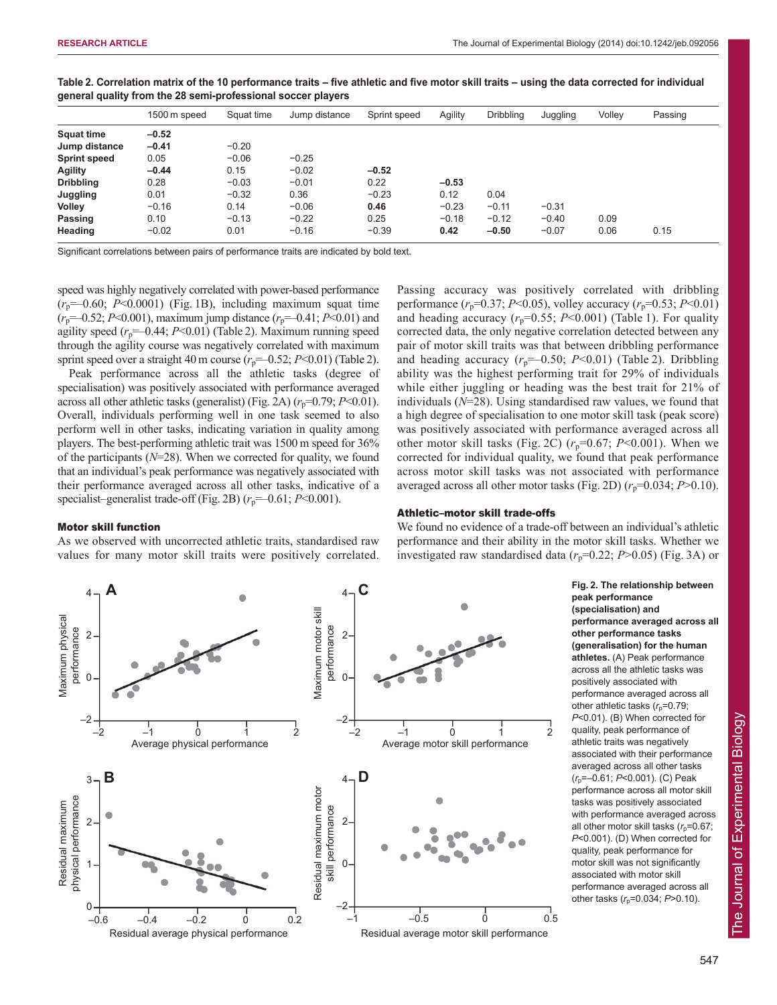|                     | 1500 m speed | Squat time | Jump distance | Sprint speed | Agility | <b>Dribbling</b> | Juggling | Volley | Passing |
|---------------------|--------------|------------|---------------|--------------|---------|------------------|----------|--------|---------|
| <b>Squat time</b>   | $-0.52$      |            |               |              |         |                  |          |        |         |
| Jump distance       | $-0.41$      | $-0.20$    |               |              |         |                  |          |        |         |
| <b>Sprint speed</b> | 0.05         | $-0.06$    | $-0.25$       |              |         |                  |          |        |         |
| <b>Agility</b>      | $-0.44$      | 0.15       | $-0.02$       | $-0.52$      |         |                  |          |        |         |
| <b>Dribbling</b>    | 0.28         | $-0.03$    | $-0.01$       | 0.22         | $-0.53$ |                  |          |        |         |
| Juggling            | 0.01         | $-0.32$    | 0.36          | $-0.23$      | 0.12    | 0.04             |          |        |         |
| Volley              | $-0.16$      | 0.14       | $-0.06$       | 0.46         | $-0.23$ | $-0.11$          | $-0.31$  |        |         |
| Passing             | 0.10         | $-0.13$    | $-0.22$       | 0.25         | $-0.18$ | $-0.12$          | $-0.40$  | 0.09   |         |
| Heading             | $-0.02$      | 0.01       | $-0.16$       | $-0.39$      | 0.42    | $-0.50$          | $-0.07$  | 0.06   | 0.15    |

**Table 2. Correlation matrix of the 10 performance traits – five athletic and five motor skill traits – using the data corrected for individual general quality from the 28 semi-professional soccer players**

Significant correlations between pairs of performance traits are indicated by bold text.

speed was highly negatively correlated with power-based performance  $(r_p=-0.60; P<0.0001)$  (Fig. 1B), including maximum squat time  $(r_p=-0.52; P<0.001)$ , maximum jump distance  $(r_p=-0.41; P<0.01)$  and agility speed  $(r_p = 0.44; P < 0.01)$  (Table 2). Maximum running speed through the agility course was negatively correlated with maximum sprint speed over a straight 40 m course  $(r_p = 0.52; P < 0.01)$  (Table 2).

Peak performance across all the athletic tasks (degree of specialisation) was positively associated with performance averaged across all other athletic tasks (generalist) (Fig. 2A)  $(r_p=0.79; P<0.01)$ . Overall, individuals performing well in one task seemed to also perform well in other tasks, indicating variation in quality among players. The best-performing athletic trait was 1500 m speed for 36% of the participants (*N*=28). When we corrected for quality, we found that an individual's peak performance was negatively associated with their performance averaged across all other tasks, indicative of a specialist–generalist trade-off (Fig. 2B)  $(r_p=-0.61; P<0.001)$ .

#### Motor skill function

As we observed with uncorrected athletic traits, standardised raw values for many motor skill traits were positively correlated. Passing accuracy was positively correlated with dribbling performance  $(r_p=0.37; P<0.05)$ , volley accuracy  $(r_p=0.53; P<0.01)$ and heading accuracy  $(r_p=0.55; P<0.001)$  (Table 1). For quality corrected data, the only negative correlation detected between any pair of motor skill traits was that between dribbling performance and heading accuracy  $(r_p=-0.50; P<0.01)$  (Table 2). Dribbling ability was the highest performing trait for 29% of individuals while either juggling or heading was the best trait for 21% of individuals (*N*=28). Using standardised raw values, we found that a high degree of specialisation to one motor skill task (peak score) was positively associated with performance averaged across all other motor skill tasks (Fig. 2C)  $(r_p=0.67; P<0.001)$ . When we corrected for individual quality, we found that peak performance across motor skill tasks was not associated with performance averaged across all other motor tasks (Fig. 2D)  $(r_p=0.034; P>0.10)$ .

## Athletic–motor skill trade-offs

We found no evidence of a trade-off between an individual's athletic performance and their ability in the motor skill tasks. Whether we investigated raw standardised data  $(r_p=0.22; P>0.05)$  (Fig. 3A) or



**Fig. 2. The relationship between peak performance (specialisation) and performance averaged across all other performance tasks (generalisation) for the human athletes.** (A) Peak performance across all the athletic tasks was positively associated with performance averaged across all other athletic tasks  $(r<sub>p</sub>=0.79)$ ; *P*<0.01). (B) When corrected for quality, peak performance of athletic traits was negatively associated with their performance averaged across all other tasks (*r*p=–0.61; *P*<0.001). (C) Peak performance across all motor skill tasks was positively associated with performance averaged across all other motor skill tasks  $(r<sub>p</sub>=0.67;$ *P*<0.001). (D) When corrected for quality, peak performance for motor skill was not significantly associated with motor skill performance averaged across all other tasks (*r*p=0.034; *P*>0.10).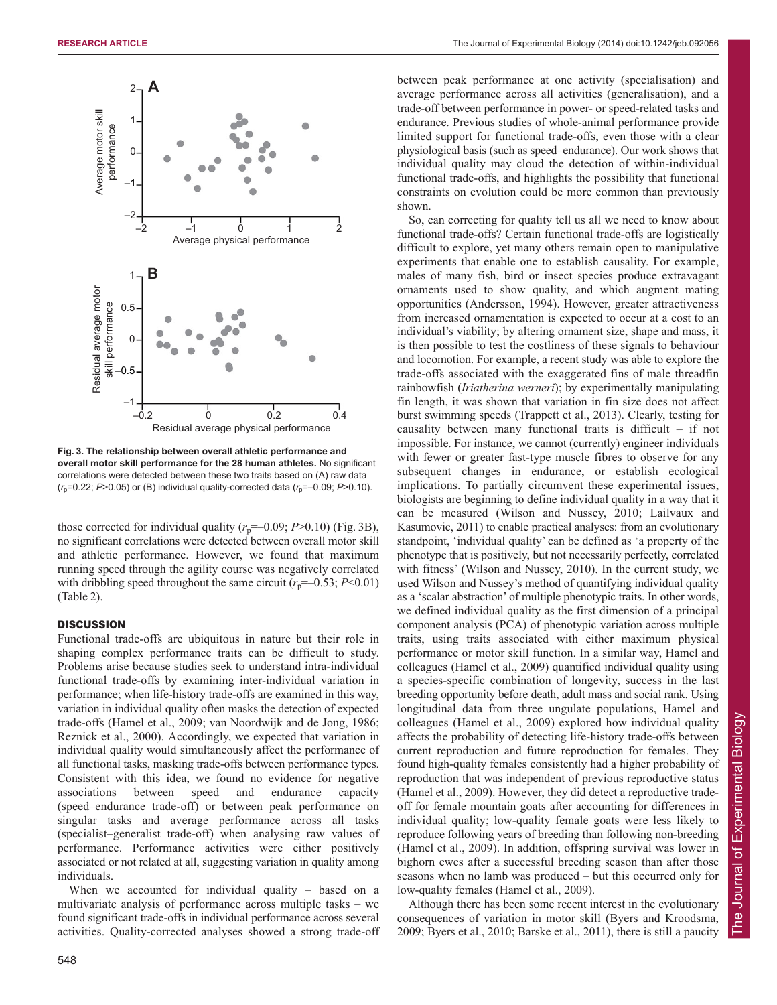

**Fig. 3. The relationship between overall athletic performance and overall motor skill performance for the 28 human athletes.** No significant correlations were detected between these two traits based on (A) raw data  $(r_p=0.22; P>0.05)$  or (B) individual quality-corrected data  $(r_p=-0.09; P>0.10)$ .

those corrected for individual quality  $(r_p=-0.09; P>0.10)$  (Fig. 3B), no significant correlations were detected between overall motor skill and athletic performance. However, we found that maximum running speed through the agility course was negatively correlated with dribbling speed throughout the same circuit  $(r_p=-0.53; P<0.01)$ (Table 2).

#### **DISCUSSION**

Functional trade-offs are ubiquitous in nature but their role in shaping complex performance traits can be difficult to study. Problems arise because studies seek to understand intra-individual functional trade-offs by examining inter-individual variation in performance; when life-history trade-offs are examined in this way, variation in individual quality often masks the detection of expected trade-offs (Hamel et al., 2009; van Noordwijk and de Jong, 1986; Reznick et al., 2000). Accordingly, we expected that variation in individual quality would simultaneously affect the performance of all functional tasks, masking trade-offs between performance types. Consistent with this idea, we found no evidence for negative associations between speed and endurance capacity (speed–endurance trade-off) or between peak performance on singular tasks and average performance across all tasks (specialist–generalist trade-off) when analysing raw values of performance. Performance activities were either positively associated or not related at all, suggesting variation in quality among individuals.

When we accounted for individual quality – based on a multivariate analysis of performance across multiple tasks – we found significant trade-offs in individual performance across several activities. Quality-corrected analyses showed a strong trade-off between peak performance at one activity (specialisation) and average performance across all activities (generalisation), and a trade-off between performance in power- or speed-related tasks and endurance. Previous studies of whole-animal performance provide limited support for functional trade-offs, even those with a clear physiological basis (such as speed–endurance). Our work shows that individual quality may cloud the detection of within-individual functional trade-offs, and highlights the possibility that functional constraints on evolution could be more common than previously shown.

So, can correcting for quality tell us all we need to know about functional trade-offs? Certain functional trade-offs are logistically difficult to explore, yet many others remain open to manipulative experiments that enable one to establish causality. For example, males of many fish, bird or insect species produce extravagant ornaments used to show quality, and which augment mating opportunities (Andersson, 1994). However, greater attractiveness from increased ornamentation is expected to occur at a cost to an individual's viability; by altering ornament size, shape and mass, it is then possible to test the costliness of these signals to behaviour and locomotion. For example, a recent study was able to explore the trade-offs associated with the exaggerated fins of male threadfin rainbowfish (*Iriatherina werneri*); by experimentally manipulating fin length, it was shown that variation in fin size does not affect burst swimming speeds (Trappett et al., 2013). Clearly, testing for causality between many functional traits is difficult – if not impossible. For instance, we cannot (currently) engineer individuals with fewer or greater fast-type muscle fibres to observe for any subsequent changes in endurance, or establish ecological implications. To partially circumvent these experimental issues, biologists are beginning to define individual quality in a way that it can be measured (Wilson and Nussey, 2010; Lailvaux and Kasumovic, 2011) to enable practical analyses: from an evolutionary standpoint, 'individual quality' can be defined as 'a property of the phenotype that is positively, but not necessarily perfectly, correlated with fitness' (Wilson and Nussey, 2010). In the current study, we used Wilson and Nussey's method of quantifying individual quality as a 'scalar abstraction' of multiple phenotypic traits. In other words, we defined individual quality as the first dimension of a principal component analysis (PCA) of phenotypic variation across multiple traits, using traits associated with either maximum physical performance or motor skill function. In a similar way, Hamel and colleagues (Hamel et al., 2009) quantified individual quality using a species-specific combination of longevity, success in the last breeding opportunity before death, adult mass and social rank. Using longitudinal data from three ungulate populations, Hamel and colleagues (Hamel et al., 2009) explored how individual quality affects the probability of detecting life-history trade-offs between current reproduction and future reproduction for females. They found high-quality females consistently had a higher probability of reproduction that was independent of previous reproductive status (Hamel et al., 2009). However, they did detect a reproductive tradeoff for female mountain goats after accounting for differences in individual quality; low-quality female goats were less likely to reproduce following years of breeding than following non-breeding (Hamel et al., 2009). In addition, offspring survival was lower in bighorn ewes after a successful breeding season than after those seasons when no lamb was produced – but this occurred only for low-quality females (Hamel et al., 2009).

Although there has been some recent interest in the evolutionary consequences of variation in motor skill (Byers and Kroodsma, 2009; Byers et al., 2010; Barske et al., 2011), there is still a paucity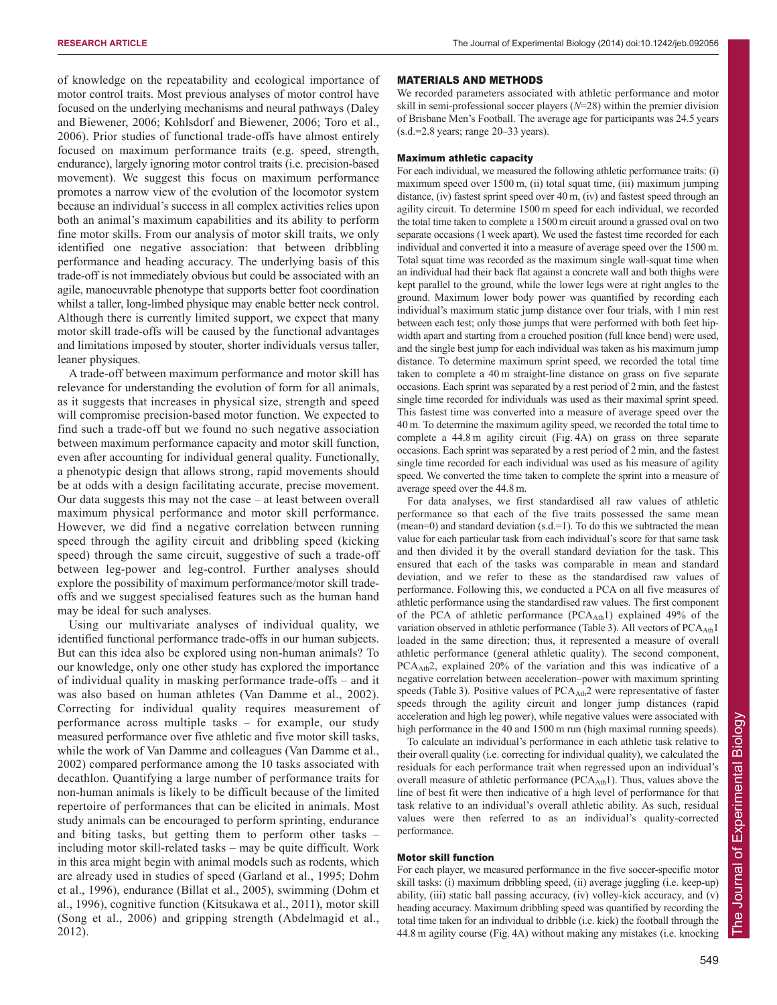of knowledge on the repeatability and ecological importance of motor control traits. Most previous analyses of motor control have focused on the underlying mechanisms and neural pathways (Daley and Biewener, 2006; Kohlsdorf and Biewener, 2006; Toro et al., 2006). Prior studies of functional trade-offs have almost entirely focused on maximum performance traits (e.g. speed, strength, endurance), largely ignoring motor control traits (i.e. precision-based movement). We suggest this focus on maximum performance promotes a narrow view of the evolution of the locomotor system because an individual's success in all complex activities relies upon both an animal's maximum capabilities and its ability to perform fine motor skills. From our analysis of motor skill traits, we only identified one negative association: that between dribbling performance and heading accuracy. The underlying basis of this trade-off is not immediately obvious but could be associated with an agile, manoeuvrable phenotype that supports better foot coordination whilst a taller, long-limbed physique may enable better neck control. Although there is currently limited support, we expect that many motor skill trade-offs will be caused by the functional advantages and limitations imposed by stouter, shorter individuals versus taller, leaner physiques.

A trade-off between maximum performance and motor skill has relevance for understanding the evolution of form for all animals, as it suggests that increases in physical size, strength and speed will compromise precision-based motor function. We expected to find such a trade-off but we found no such negative association between maximum performance capacity and motor skill function, even after accounting for individual general quality. Functionally, a phenotypic design that allows strong, rapid movements should be at odds with a design facilitating accurate, precise movement. Our data suggests this may not the case – at least between overall maximum physical performance and motor skill performance. However, we did find a negative correlation between running speed through the agility circuit and dribbling speed (kicking speed) through the same circuit, suggestive of such a trade-off between leg-power and leg-control. Further analyses should explore the possibility of maximum performance/motor skill tradeoffs and we suggest specialised features such as the human hand may be ideal for such analyses.

Using our multivariate analyses of individual quality, we identified functional performance trade-offs in our human subjects. But can this idea also be explored using non-human animals? To our knowledge, only one other study has explored the importance of individual quality in masking performance trade-offs – and it was also based on human athletes (Van Damme et al., 2002). Correcting for individual quality requires measurement of performance across multiple tasks – for example, our study measured performance over five athletic and five motor skill tasks, while the work of Van Damme and colleagues (Van Damme et al., 2002) compared performance among the 10 tasks associated with decathlon. Quantifying a large number of performance traits for non-human animals is likely to be difficult because of the limited repertoire of performances that can be elicited in animals. Most study animals can be encouraged to perform sprinting, endurance and biting tasks, but getting them to perform other tasks – including motor skill-related tasks – may be quite difficult. Work in this area might begin with animal models such as rodents, which are already used in studies of speed (Garland et al., 1995; Dohm et al., 1996), endurance (Billat et al., 2005), swimming (Dohm et al., 1996), cognitive function (Kitsukawa et al., 2011), motor skill (Song et al., 2006) and gripping strength (Abdelmagid et al., 2012).

#### MATERIALS AND METHODS

We recorded parameters associated with athletic performance and motor skill in semi-professional soccer players (*N*=28) within the premier division of Brisbane Men's Football. The average age for participants was 24.5 years (s.d.=2.8 years; range 20–33 years).

#### Maximum athletic capacity

For each individual, we measured the following athletic performance traits: (i) maximum speed over 1500 m, (ii) total squat time, (iii) maximum jumping distance, (iv) fastest sprint speed over 40 m, (iv) and fastest speed through an agility circuit. To determine 1500 m speed for each individual, we recorded the total time taken to complete a 1500 m circuit around a grassed oval on two separate occasions (1 week apart). We used the fastest time recorded for each individual and converted it into a measure of average speed over the 1500 m. Total squat time was recorded as the maximum single wall-squat time when an individual had their back flat against a concrete wall and both thighs were kept parallel to the ground, while the lower legs were at right angles to the ground. Maximum lower body power was quantified by recording each individual's maximum static jump distance over four trials, with 1 min rest between each test; only those jumps that were performed with both feet hipwidth apart and starting from a crouched position (full knee bend) were used, and the single best jump for each individual was taken as his maximum jump distance. To determine maximum sprint speed, we recorded the total time taken to complete a 40 m straight-line distance on grass on five separate occasions. Each sprint was separated by a rest period of 2 min, and the fastest single time recorded for individuals was used as their maximal sprint speed. This fastest time was converted into a measure of average speed over the 40 m. To determine the maximum agility speed, we recorded the total time to complete a 44.8 m agility circuit (Fig. 4A) on grass on three separate occasions. Each sprint was separated by a rest period of 2 min, and the fastest single time recorded for each individual was used as his measure of agility speed. We converted the time taken to complete the sprint into a measure of average speed over the 44.8 m.

For data analyses, we first standardised all raw values of athletic performance so that each of the five traits possessed the same mean (mean=0) and standard deviation  $(s.d.=1)$ . To do this we subtracted the mean value for each particular task from each individual's score for that same task and then divided it by the overall standard deviation for the task. This ensured that each of the tasks was comparable in mean and standard deviation, and we refer to these as the standardised raw values of performance. Following this, we conducted a PCA on all five measures of athletic performance using the standardised raw values. The first component of the PCA of athletic performance (PCAAth1) explained 49% of the variation observed in athletic performance (Table 3). All vectors of PCA<sub>Ath</sub>1 loaded in the same direction; thus, it represented a measure of overall athletic performance (general athletic quality). The second component, PCAAth2, explained 20% of the variation and this was indicative of a negative correlation between acceleration–power with maximum sprinting speeds (Table 3). Positive values of  $PCA_{Ath}2$  were representative of faster speeds through the agility circuit and longer jump distances (rapid acceleration and high leg power), while negative values were associated with high performance in the 40 and 1500 m run (high maximal running speeds).

To calculate an individual's performance in each athletic task relative to their overall quality (i.e. correcting for individual quality), we calculated the residuals for each performance trait when regressed upon an individual's overall measure of athletic performance ( $PCA_{\text{Ath}}$ 1). Thus, values above the line of best fit were then indicative of a high level of performance for that task relative to an individual's overall athletic ability. As such, residual values were then referred to as an individual's quality-corrected performance.

#### Motor skill function

For each player, we measured performance in the five soccer-specific motor skill tasks: (i) maximum dribbling speed, (ii) average juggling (i.e. keep-up) ability, (iii) static ball passing accuracy, (iv) volley-kick accuracy, and (v) heading accuracy. Maximum dribbling speed was quantified by recording the total time taken for an individual to dribble (i.e. kick) the football through the 44.8 m agility course (Fig. 4A) without making any mistakes (i.e. knocking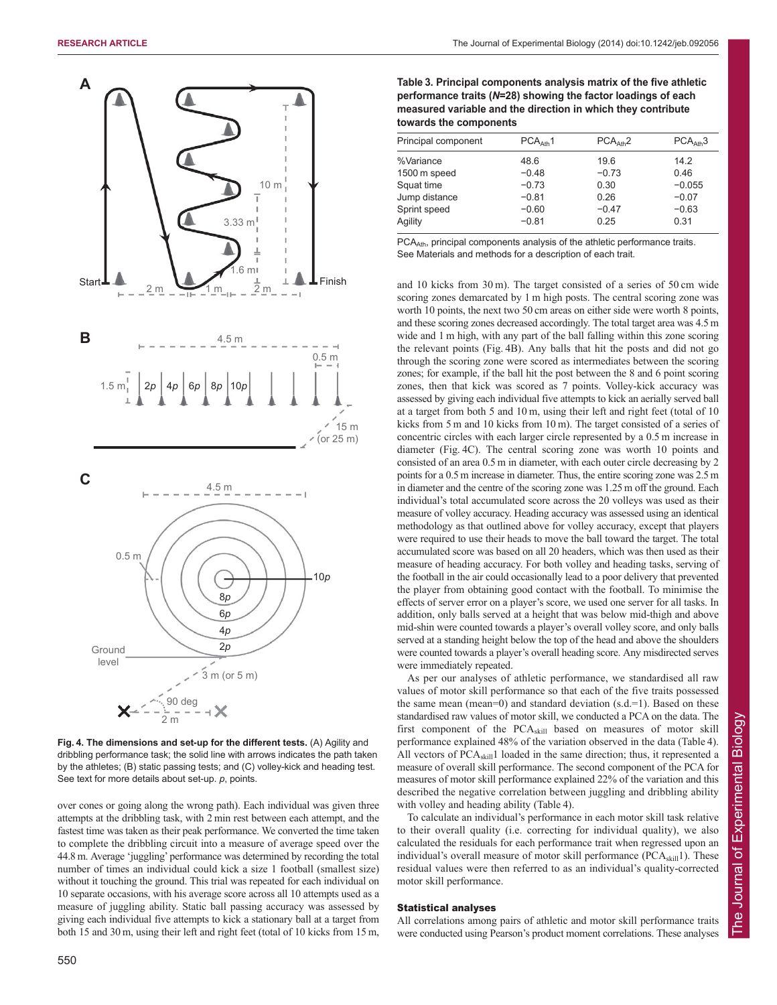

**Fig. 4. The dimensions and set-up for the different tests.** (A) Agility and dribbling performance task; the solid line with arrows indicates the path taken by the athletes; (B) static passing tests; and (C) volley-kick and heading test. See text for more details about set-up. *p*, points.

2 m

over cones or going along the wrong path). Each individual was given three attempts at the dribbling task, with 2 min rest between each attempt, and the fastest time was taken as their peak performance. We converted the time taken to complete the dribbling circuit into a measure of average speed over the 44.8 m. Average 'juggling' performance was determined by recording the total number of times an individual could kick a size 1 football (smallest size) without it touching the ground. This trial was repeated for each individual on 10 separate occasions, with his average score across all 10 attempts used as a measure of juggling ability. Static ball passing accuracy was assessed by giving each individual five attempts to kick a stationary ball at a target from both 15 and 30 m, using their left and right feet (total of 10 kicks from 15 m,

| Table 3. Principal components analysis matrix of the five athletic |
|--------------------------------------------------------------------|
| performance traits (N=28) showing the factor loadings of each      |
| measured variable and the direction in which they contribute       |
| towards the components                                             |

| Principal component | PCA <sub>ath</sub> 1 | PCA <sub>ath</sub> 2 | PCA <sub>ath3</sub> |
|---------------------|----------------------|----------------------|---------------------|
| %Variance           | 48.6                 | 19.6                 | 14.2                |
| 1500 m speed        | $-0.48$              | $-0.73$              | 0.46                |
| Squat time          | $-0.73$              | 0.30                 | $-0.055$            |
| Jump distance       | $-0.81$              | 0.26                 | $-0.07$             |
| Sprint speed        | $-0.60$              | $-0.47$              | $-0.63$             |
| Agility             | $-0.81$              | 0.25                 | 0.31                |

PCA<sub>Ath</sub>, principal components analysis of the athletic performance traits. See Materials and methods for a description of each trait.

and 10 kicks from 30 m). The target consisted of a series of 50 cm wide scoring zones demarcated by 1 m high posts. The central scoring zone was worth 10 points, the next two 50 cm areas on either side were worth 8 points, and these scoring zones decreased accordingly. The total target area was 4.5 m wide and 1 m high, with any part of the ball falling within this zone scoring the relevant points (Fig. 4B). Any balls that hit the posts and did not go through the scoring zone were scored as intermediates between the scoring zones; for example, if the ball hit the post between the 8 and 6 point scoring zones, then that kick was scored as 7 points. Volley-kick accuracy was assessed by giving each individual five attempts to kick an aerially served ball at a target from both 5 and 10 m, using their left and right feet (total of 10 kicks from 5 m and 10 kicks from 10 m). The target consisted of a series of concentric circles with each larger circle represented by a 0.5 m increase in diameter (Fig. 4C). The central scoring zone was worth 10 points and consisted of an area 0.5 m in diameter, with each outer circle decreasing by 2 points for a 0.5m increase in diameter. Thus, the entire scoring zone was 2.5m in diameter and the centre of the scoring zone was 1.25m off the ground. Each individual's total accumulated score across the 20 volleys was used as their measure of volley accuracy. Heading accuracy was assessed using an identical methodology as that outlined above for volley accuracy, except that players were required to use their heads to move the ball toward the target. The total accumulated score was based on all 20 headers, which was then used as their measure of heading accuracy. For both volley and heading tasks, serving of the football in the air could occasionally lead to a poor delivery that prevented the player from obtaining good contact with the football. To minimise the effects of server error on a player's score, we used one server for all tasks. In addition, only balls served at a height that was below mid-thigh and above mid-shin were counted towards a player's overall volley score, and only balls served at a standing height below the top of the head and above the shoulders were counted towards a player's overall heading score. Any misdirected serves were immediately repeated.

As per our analyses of athletic performance, we standardised all raw values of motor skill performance so that each of the five traits possessed the same mean (mean=0) and standard deviation  $(s.d.=1)$ . Based on these standardised raw values of motor skill, we conducted a PCA on the data. The first component of the PCAskill based on measures of motor skill performance explained 48% of the variation observed in the data (Table 4). All vectors of PCA<sub>skill</sub>1 loaded in the same direction; thus, it represented a measure of overall skill performance. The second component of the PCA for measures of motor skill performance explained 22% of the variation and this described the negative correlation between juggling and dribbling ability with volley and heading ability (Table 4).

To calculate an individual's performance in each motor skill task relative to their overall quality (i.e. correcting for individual quality), we also calculated the residuals for each performance trait when regressed upon an individual's overall measure of motor skill performance  $(PCA<sub>skill</sub>1)$ . These residual values were then referred to as an individual's quality-corrected motor skill performance.

## Statistical analyses

All correlations among pairs of athletic and motor skill performance traits were conducted using Pearson's product moment correlations. These analyses